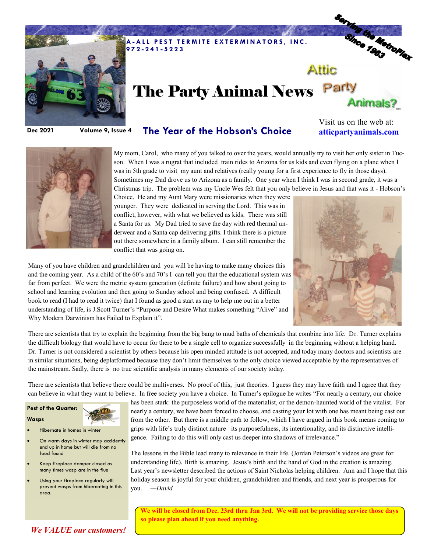

# Serving the Metropier Attic The Party Animal News Party Animals?

**Dec 2021 Volume 9, Issue 4**

## **The Year of the Hobson's Choice**

Visit us on the web at: **atticpartyanimals.com**



My mom, Carol, who many of you talked to over the years, would annually try to visit her only sister in Tucson. When I was a rugrat that included train rides to Arizona for us kids and even flying on a plane when I was in 5th grade to visit my aunt and relatives (really young for a first experience to fly in those days). Sometimes my Dad drove us to Arizona as a family. One year when I think I was in second grade, it was a Christmas trip. The problem was my Uncle Wes felt that you only believe in Jesus and that was it - Hobson's

Choice. He and my Aunt Mary were missionaries when they were younger. They were dedicated in serving the Lord. This was in conflict, however, with what we believed as kids. There was still a Santa for us. My Dad tried to save the day with red thermal underwear and a Santa cap delivering gifts. I think there is a picture out there somewhere in a family album. I can still remember the conflict that was going on.



Many of you have children and grandchildren and you will be having to make many choices this and the coming year. As a child of the 60's and 70's I can tell you that the educational system was far from perfect. We were the metric system generation (definite failure) and how about going to school and learning evolution and then going to Sunday school and being confused. A difficult book to read (I had to read it twice) that I found as good a start as any to help me out in a better understanding of life, is J.Scott Turner's "Purpose and Desire What makes something "Alive" and Why Modern Darwinism has Failed to Explain it".

There are scientists that try to explain the beginning from the big bang to mud baths of chemicals that combine into life. Dr. Turner explains the difficult biology that would have to occur for there to be a single cell to organize successfully in the beginning without a helping hand. Dr. Turner is not considered a scientist by others because his open minded attitude is not accepted, and today many doctors and scientists are in similar situations, being deplatformed because they don't limit themselves to the only choice viewed acceptable by the representatives of the mainstream. Sadly, there is no true scientific analysis in many elements of our society today.

There are scientists that believe there could be multiverses. No proof of this, just theories. I guess they may have faith and I agree that they can believe in what they want to believe. In free society you have a choice. In Turner's epilogue he writes "For nearly a century, our choice

**Pest of the Quarter:**

#### **Wasps**

- Hibernate in homes in winter
- On warm days in winter may accidently end up in home but will die from no food found
- Keep fireplace damper closed as many times wasp are in the flue
- Using your fireplace regularly will prevent wasps from hibernating in this area.

has been stark: the purposeless world of the materialist, or the demon-haunted world of the vitalist. For nearly a century, we have been forced to choose, and casting your lot with one has meant being cast out from the other. But there is a middle path to follow, which I have argued in this book means coming to grips with life's truly distinct nature– its purposefulness, its intentionality, and its distinctive intelligence. Failing to do this will only cast us deeper into shadows of irrelevance."

The lessons in the Bible lead many to relevance in their life. (Jordan Peterson's videos are great for understanding life). Birth is amazing. Jesus's birth and the hand of God in the creation is amazing. Last year's newsletter described the actions of Saint Nicholas helping children. Ann and I hope that this holiday season is joyful for your children, grandchildren and friends, and next year is prosperous for you. *—David*

**We will be closed from Dec. 23rd thru Jan 3rd. We will not be providing service those days so please plan ahead if you need anything.** 

### *We VALUE our customers!*